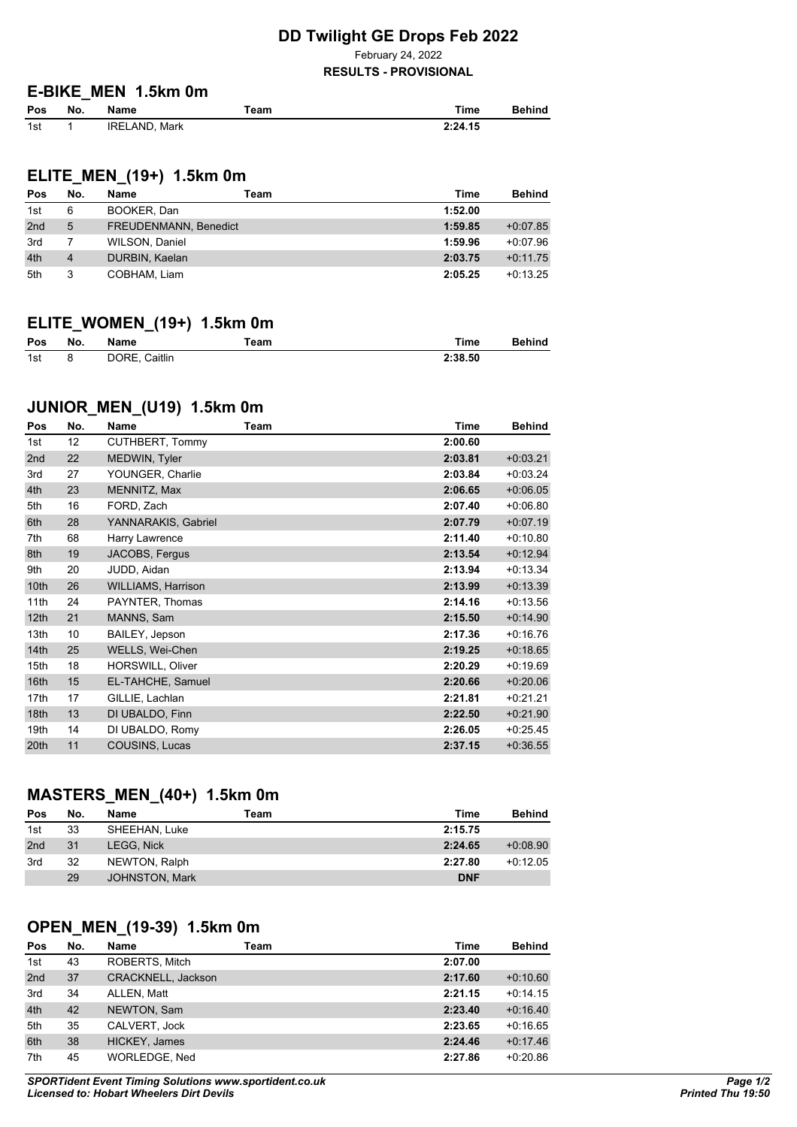### **DD Twilight GE Drops Feb 2022**

February 24, 2022

#### **RESULTS - PROVISIONAL**

#### **E-BIKE\_MEN 1.5km 0m**

| Pos | No. | Name                 | eam" | ™ime    | <b>Behind</b> |
|-----|-----|----------------------|------|---------|---------------|
| 1st |     | <b>IRELAND, Mark</b> |      | 2:24.15 |               |

# **ELITE\_MEN\_(19+) 1.5km 0m**

| Pos             | No. | Name                  | Team | Time    | <b>Behind</b> |
|-----------------|-----|-----------------------|------|---------|---------------|
| 1st             | 6   | BOOKER, Dan           |      | 1:52.00 |               |
| 2 <sub>nd</sub> | 5   | FREUDENMANN, Benedict |      | 1:59.85 | $+0.07.85$    |
| 3rd             |     | WILSON, Daniel        |      | 1:59.96 | $+0.07.96$    |
| 4th             | 4   | DURBIN, Kaelan        |      | 2:03.75 | $+0.11.75$    |
| 5th             | 3   | COBHAM, Liam          |      | 2:05.25 | $+0.13.25$    |

## **ELITE\_WOMEN\_(19+) 1.5km 0m**

| Pos | No. | Name          | Team | Time    | <b>Behind</b> |
|-----|-----|---------------|------|---------|---------------|
| 1st |     | DORE, Caitlin |      | 2:38.50 |               |

# **JUNIOR\_MEN\_(U19) 1.5km 0m**

| Pos  | No. | Name                      | Team | <b>Time</b> | <b>Behind</b> |
|------|-----|---------------------------|------|-------------|---------------|
| 1st  | 12  | CUTHBERT, Tommy           |      | 2:00.60     |               |
| 2nd  | 22  | MEDWIN, Tyler             |      | 2:03.81     | $+0.03.21$    |
| 3rd  | 27  | YOUNGER, Charlie          |      | 2:03.84     | $+0.03.24$    |
| 4th  | 23  | MENNITZ, Max              |      | 2:06.65     | $+0.06.05$    |
| 5th  | 16  | FORD, Zach                |      | 2:07.40     | $+0.06.80$    |
| 6th  | 28  | YANNARAKIS, Gabriel       |      | 2:07.79     | $+0.07.19$    |
| 7th  | 68  | Harry Lawrence            |      | 2:11.40     | $+0:10.80$    |
| 8th  | 19  | JACOBS, Fergus            |      | 2:13.54     | $+0.12.94$    |
| 9th  | 20  | JUDD, Aidan               |      | 2:13.94     | $+0:13.34$    |
| 10th | 26  | <b>WILLIAMS, Harrison</b> |      | 2:13.99     | $+0.13.39$    |
| 11th | 24  | PAYNTER, Thomas           |      | 2:14.16     | $+0:13.56$    |
| 12th | 21  | MANNS, Sam                |      | 2:15.50     | $+0.14.90$    |
| 13th | 10  | BAILEY, Jepson            |      | 2:17.36     | $+0:16.76$    |
| 14th | 25  | WELLS, Wei-Chen           |      | 2:19.25     | $+0.18.65$    |
| 15th | 18  | HORSWILL, Oliver          |      | 2:20.29     | $+0.19.69$    |
| 16th | 15  | EL-TAHCHE, Samuel         |      | 2:20.66     | $+0.20.06$    |
| 17th | 17  | GILLIE, Lachlan           |      | 2:21.81     | $+0.21.21$    |
| 18th | 13  | DI UBALDO, Finn           |      | 2:22.50     | $+0.21.90$    |
| 19th | 14  | DI UBALDO, Romy           |      | 2:26.05     | $+0.25.45$    |
| 20th | 11  | COUSINS, Lucas            |      | 2:37.15     | $+0.36.55$    |
|      |     |                           |      |             |               |

# **MASTERS\_MEN\_(40+) 1.5km 0m**

| Pos | No. | Name              | Team | Time       | Behind     |
|-----|-----|-------------------|------|------------|------------|
| 1st | 33  | SHEEHAN, Luke     |      | 2:15.75    |            |
| 2nd | 31  | <b>LEGG. Nick</b> |      | 2:24.65    | $+0.08.90$ |
| 3rd | 32  | NEWTON, Ralph     |      | 2:27.80    | $+0.12.05$ |
|     | 29  | JOHNSTON, Mark    |      | <b>DNF</b> |            |

## **OPEN\_MEN\_(19-39) 1.5km 0m**

| Pos             | No. | Name               | Team | Time    | <b>Behind</b> |
|-----------------|-----|--------------------|------|---------|---------------|
| 1st             | 43  | ROBERTS, Mitch     |      | 2:07.00 |               |
| 2 <sub>nd</sub> | 37  | CRACKNELL, Jackson |      | 2:17.60 | $+0.10.60$    |
| 3rd             | 34  | ALLEN, Matt        |      | 2:21.15 | $+0.14.15$    |
| 4th             | 42  | NEWTON, Sam        |      | 2:23.40 | $+0.16.40$    |
| 5th             | 35  | CALVERT, Jock      |      | 2:23.65 | $+0.16.65$    |
| 6th             | 38  | HICKEY, James      |      | 2:24.46 | $+0.17.46$    |
| 7th             | 45  | WORLEDGE, Ned      |      | 2:27.86 | $+0.20.86$    |

*SPORTident Event Timing Solutions www.sportident.co.uk Licensed to: Hobart Wheelers Dirt Devils*